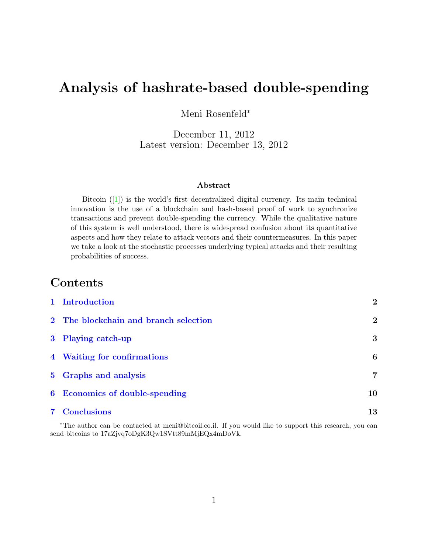# Analysis of hashrate-based double-spending

Meni Rosenfeld<sup>∗</sup>

December 11, 2012 Latest version: December 13, 2012

#### Abstract

Bitcoin  $([1])$  $([1])$  $([1])$  is the world's first decentralized digital currency. Its main technical innovation is the use of a blockchain and hash-based proof of work to synchronize transactions and prevent double-spending the currency. While the qualitative nature of this system is well understood, there is widespread confusion about its quantitative aspects and how they relate to attack vectors and their countermeasures. In this paper we take a look at the stochastic processes underlying typical attacks and their resulting probabilities of success.

### Contents

| 1 Introduction                        | $\overline{2}$ |
|---------------------------------------|----------------|
| 2 The blockchain and branch selection | $\mathbf{2}$   |
| 3 Playing catch-up                    | 3              |
| 4 Waiting for confirmations           | 6              |
| 5 Graphs and analysis                 | $\overline{7}$ |
| 6 Economics of double-spending        | 10             |
| <b>7</b> Conclusions                  | 13             |

<sup>∗</sup>The author can be contacted at meni@bitcoil.co.il. If you would like to support this research, you can send bitcoins to 17aZjvq7oDgK3Qw1SVtt89mMjEQx4mDoVk.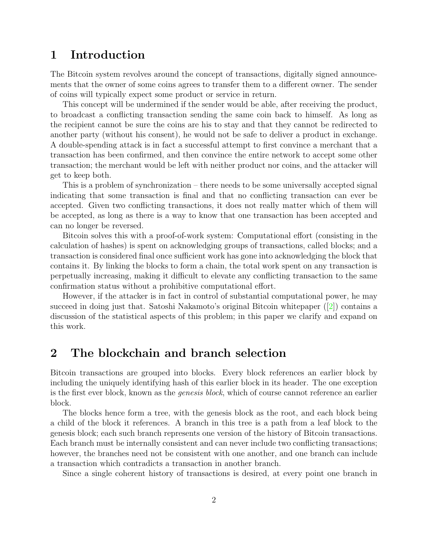#### <span id="page-1-0"></span>1 Introduction

The Bitcoin system revolves around the concept of transactions, digitally signed announcements that the owner of some coins agrees to transfer them to a different owner. The sender of coins will typically expect some product or service in return.

This concept will be undermined if the sender would be able, after receiving the product, to broadcast a conflicting transaction sending the same coin back to himself. As long as the recipient cannot be sure the coins are his to stay and that they cannot be redirected to another party (without his consent), he would not be safe to deliver a product in exchange. A double-spending attack is in fact a successful attempt to first convince a merchant that a transaction has been confirmed, and then convince the entire network to accept some other transaction; the merchant would be left with neither product nor coins, and the attacker will get to keep both.

This is a problem of synchronization – there needs to be some universally accepted signal indicating that some transaction is final and that no conflicting transaction can ever be accepted. Given two conflicting transactions, it does not really matter which of them will be accepted, as long as there is a way to know that one transaction has been accepted and can no longer be reversed.

Bitcoin solves this with a proof-of-work system: Computational effort (consisting in the calculation of hashes) is spent on acknowledging groups of transactions, called blocks; and a transaction is considered final once sufficient work has gone into acknowledging the block that contains it. By linking the blocks to form a chain, the total work spent on any transaction is perpetually increasing, making it difficult to elevate any conflicting transaction to the same confirmation status without a prohibitive computational effort.

However, if the attacker is in fact in control of substantial computational power, he may succeed in doing just that. Satoshi Nakamoto's original Bitcoin whitepaper  $(2)$  contains a discussion of the statistical aspects of this problem; in this paper we clarify and expand on this work.

#### <span id="page-1-1"></span>2 The blockchain and branch selection

Bitcoin transactions are grouped into blocks. Every block references an earlier block by including the uniquely identifying hash of this earlier block in its header. The one exception is the first ever block, known as the genesis block, which of course cannot reference an earlier block.

The blocks hence form a tree, with the genesis block as the root, and each block being a child of the block it references. A branch in this tree is a path from a leaf block to the genesis block; each such branch represents one version of the history of Bitcoin transactions. Each branch must be internally consistent and can never include two conflicting transactions; however, the branches need not be consistent with one another, and one branch can include a transaction which contradicts a transaction in another branch.

Since a single coherent history of transactions is desired, at every point one branch in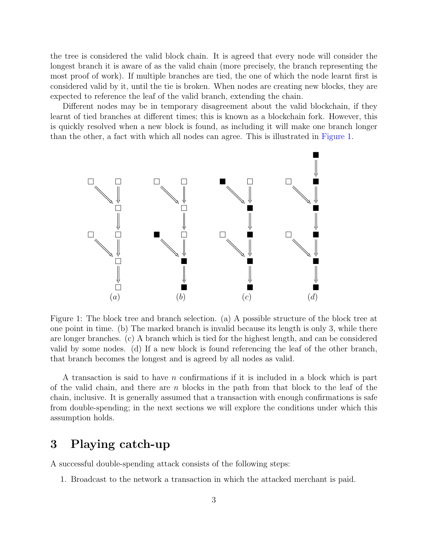the tree is considered the valid block chain. It is agreed that every node will consider the longest branch it is aware of as the valid chain (more precisely, the branch representing the most proof of work). If multiple branches are tied, the one of which the node learnt first is considered valid by it, until the tie is broken. When nodes are creating new blocks, they are expected to reference the leaf of the valid branch, extending the chain.

Different nodes may be in temporary disagreement about the valid blockchain, if they learnt of tied branches at different times; this is known as a blockchain fork. However, this is quickly resolved when a new block is found, as including it will make one branch longer than the other, a fact with which all nodes can agree. This is illustrated in [Figure 1.](#page-2-1)



<span id="page-2-1"></span>Figure 1: The block tree and branch selection. (a) A possible structure of the block tree at one point in time. (b) The marked branch is invalid because its length is only 3, while there are longer branches. (c) A branch which is tied for the highest length, and can be considered valid by some nodes. (d) If a new block is found referencing the leaf of the other branch, that branch becomes the longest and is agreed by all nodes as valid.

A transaction is said to have n confirmations if it is included in a block which is part of the valid chain, and there are  $n$  blocks in the path from that block to the leaf of the chain, inclusive. It is generally assumed that a transaction with enough confirmations is safe from double-spending; in the next sections we will explore the conditions under which this assumption holds.

### <span id="page-2-0"></span>3 Playing catch-up

A successful double-spending attack consists of the following steps:

1. Broadcast to the network a transaction in which the attacked merchant is paid.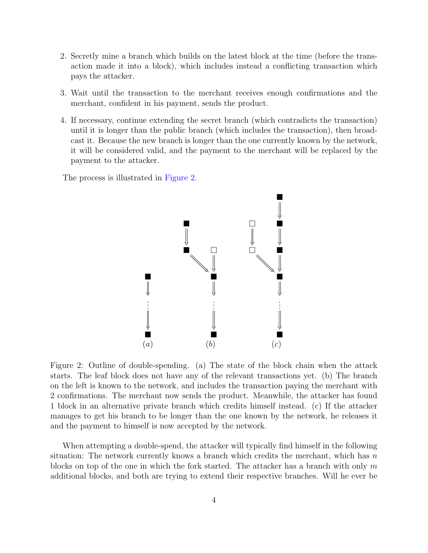- 2. Secretly mine a branch which builds on the latest block at the time (before the transaction made it into a block), which includes instead a conflicting transaction which pays the attacker.
- 3. Wait until the transaction to the merchant receives enough confirmations and the merchant, confident in his payment, sends the product.
- 4. If necessary, continue extending the secret branch (which contradicts the transaction) until it is longer than the public branch (which includes the transaction), then broadcast it. Because the new branch is longer than the one currently known by the network, it will be considered valid, and the payment to the merchant will be replaced by the payment to the attacker.

The process is illustrated in [Figure 2.](#page-3-0)



<span id="page-3-0"></span>Figure 2: Outline of double-spending. (a) The state of the block chain when the attack starts. The leaf block does not have any of the relevant transactions yet. (b) The branch on the left is known to the network, and includes the transaction paying the merchant with 2 confirmations. The merchant now sends the product. Meanwhile, the attacker has found 1 block in an alternative private branch which credits himself instead. (c) If the attacker manages to get his branch to be longer than the one known by the network, he releases it and the payment to himself is now accepted by the network.

When attempting a double-spend, the attacker will typically find himself in the following situation: The network currently knows a branch which credits the merchant, which has  $n$ blocks on top of the one in which the fork started. The attacker has a branch with only  $m$ additional blocks, and both are trying to extend their respective branches. Will he ever be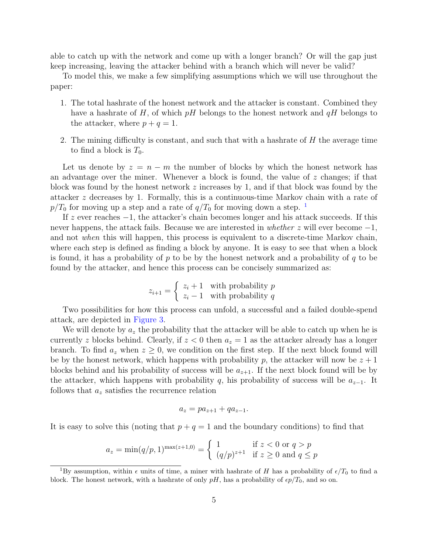able to catch up with the network and come up with a longer branch? Or will the gap just keep increasing, leaving the attacker behind with a branch which will never be valid?

To model this, we make a few simplifying assumptions which we will use throughout the paper:

- 1. The total hashrate of the honest network and the attacker is constant. Combined they have a hashrate of H, of which  $pH$  belongs to the honest network and  $qH$  belongs to the attacker, where  $p + q = 1$ .
- 2. The mining difficulty is constant, and such that with a hashrate of H the average time to find a block is  $T_0$ .

Let us denote by  $z = n - m$  the number of blocks by which the honest network has an advantage over the miner. Whenever a block is found, the value of  $z$  changes; if that block was found by the honest network  $z$  increases by 1, and if that block was found by the attacker z decreases by 1. Formally, this is a continuous-time Markov chain with a rate of  $p/T_0$  for moving up a step and a rate of  $q/T_0$  for moving down a step. <sup>[1](#page-4-0)</sup>

If z ever reaches  $-1$ , the attacker's chain becomes longer and his attack succeeds. If this never happens, the attack fails. Because we are interested in whether z will ever become  $-1$ , and not when this will happen, this process is equivalent to a discrete-time Markov chain, where each step is defined as finding a block by anyone. It is easy to see that when a block is found, it has a probability of p to be by the honest network and a probability of q to be found by the attacker, and hence this process can be concisely summarized as:

$$
z_{i+1} = \begin{cases} z_i + 1 & \text{with probability } p \\ z_i - 1 & \text{with probability } q \end{cases}
$$

Two possibilities for how this process can unfold, a successful and a failed double-spend attack, are depicted in [Figure 3.](#page-5-1)

We will denote by  $a_z$  the probability that the attacker will be able to catch up when he is currently z blocks behind. Clearly, if  $z < 0$  then  $a_z = 1$  as the attacker already has a longer branch. To find  $a_z$  when  $z \geq 0$ , we condition on the first step. If the next block found will be by the honest network, which happens with probability p, the attacker will now be  $z + 1$ blocks behind and his probability of success will be  $a_{z+1}$ . If the next block found will be by the attacker, which happens with probability q, his probability of success will be  $a_{z-1}$ . It follows that  $a_z$  satisfies the recurrence relation

$$
a_z = p a_{z+1} + q a_{z-1}.
$$

It is easy to solve this (noting that  $p + q = 1$  and the boundary conditions) to find that

$$
a_z = \min(q/p, 1)^{\max(z+1, 0)} = \begin{cases} 1 & \text{if } z < 0 \text{ or } q > p \\ (q/p)^{z+1} & \text{if } z \ge 0 \text{ and } q \le p \end{cases}
$$

<span id="page-4-0"></span><sup>&</sup>lt;sup>1</sup>By assumption, within  $\epsilon$  units of time, a miner with hashrate of H has a probability of  $\epsilon/T_0$  to find a block. The honest network, with a hashrate of only  $pH$ , has a probability of  $\epsilon p/T_0$ , and so on.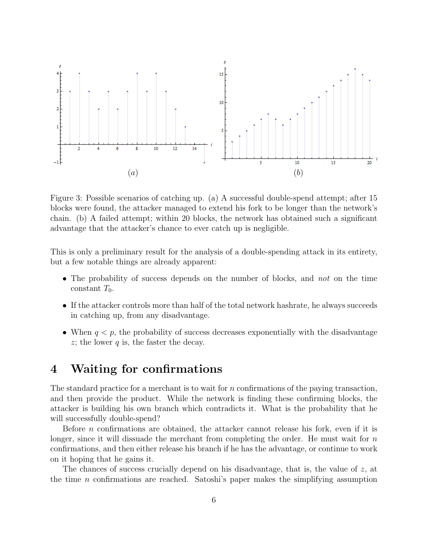

<span id="page-5-1"></span>Figure 3: Possible scenarios of catching up. (a) A successful double-spend attempt; after 15 blocks were found, the attacker managed to extend his fork to be longer than the network's chain. (b) A failed attempt; within 20 blocks, the network has obtained such a significant advantage that the attacker's chance to ever catch up is negligible.

This is only a preliminary result for the analysis of a double-spending attack in its entirety, but a few notable things are already apparent:

- The probability of success depends on the number of blocks, and not on the time constant  $T_0$ .
- If the attacker controls more than half of the total network hashrate, he always succeeds in catching up, from any disadvantage.
- When  $q < p$ , the probability of success decreases exponentially with the disadvantage  $z$ ; the lower q is, the faster the decay.

#### <span id="page-5-0"></span>4 Waiting for confirmations

The standard practice for a merchant is to wait for  $n$  confirmations of the paying transaction, and then provide the product. While the network is finding these confirming blocks, the attacker is building his own branch which contradicts it. What is the probability that he will successfully double-spend?

Before  $n$  confirmations are obtained, the attacker cannot release his fork, even if it is longer, since it will dissuade the merchant from completing the order. He must wait for  $n$ confirmations, and then either release his branch if he has the advantage, or continue to work on it hoping that he gains it.

The chances of success crucially depend on his disadvantage, that is, the value of  $z$ , at the time n confirmations are reached. Satoshi's paper makes the simplifying assumption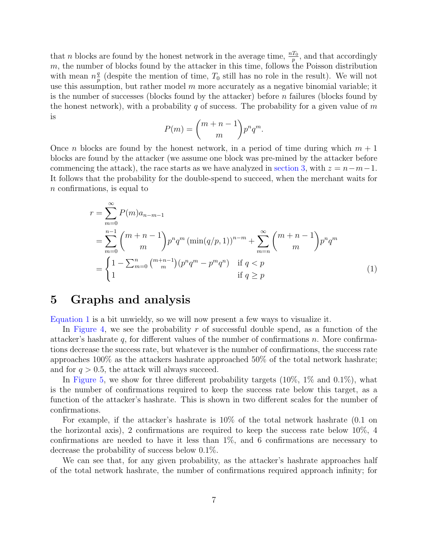that *n* blocks are found by the honest network in the average time,  $\frac{nT_0}{p}$ , and that accordingly m, the number of blocks found by the attacker in this time, follows the Poisson distribution with mean  $n_{n}^{q}$  $\frac{q}{p}$  (despite the mention of time,  $T_0$  still has no role in the result). We will not use this assumption, but rather model  $m$  more accurately as a negative binomial variable; it is the number of successes (blocks found by the attacker) before n failures (blocks found by the honest network), with a probability q of success. The probability for a given value of  $m$ is

<span id="page-6-1"></span>
$$
P(m) = \binom{m+n-1}{m} p^n q^m.
$$

Once *n* blocks are found by the honest network, in a period of time during which  $m + 1$ blocks are found by the attacker (we assume one block was pre-mined by the attacker before commencing the attack), the race starts as we have analyzed in [section 3,](#page-2-0) with  $z = n-m-1$ . It follows that the probability for the double-spend to succeed, when the merchant waits for n confirmations, is equal to

$$
r = \sum_{m=0}^{\infty} P(m)a_{n-m-1}
$$
  
= 
$$
\sum_{m=0}^{n-1} {m+n-1 \choose m} p^n q^m (\min(q/p, 1))^{n-m} + \sum_{m=n}^{\infty} {m+n-1 \choose m} p^n q^m
$$
  
= 
$$
\begin{cases} 1 - \sum_{m=0}^{n} {m+n-1 \choose m} (p^n q^m - p^m q^n) & \text{if } q < p \\ 1 & \text{if } q \ge p \end{cases}
$$
(1)

### <span id="page-6-0"></span>5 Graphs and analysis

[Equation 1](#page-6-1) is a bit unwieldy, so we will now present a few ways to visualize it.

In [Figure 4,](#page-7-0) we see the probability r of successful double spend, as a function of the attacker's hashrate  $q$ , for different values of the number of confirmations n. More confirmations decrease the success rate, but whatever is the number of confirmations, the success rate approaches 100% as the attackers hashrate approached 50% of the total network hashrate; and for  $q > 0.5$ , the attack will always succeed.

In [Figure 5,](#page-8-0) we show for three different probability targets (10%, 1% and 0.1%), what is the number of confirmations required to keep the success rate below this target, as a function of the attacker's hashrate. This is shown in two different scales for the number of confirmations.

For example, if the attacker's hashrate is 10% of the total network hashrate (0.1 on the horizontal axis), 2 confirmations are required to keep the success rate below 10%, 4 confirmations are needed to have it less than  $1\%$ , and 6 confirmations are necessary to decrease the probability of success below 0.1%.

We can see that, for any given probability, as the attacker's hashrate approaches half of the total network hashrate, the number of confirmations required approach infinity; for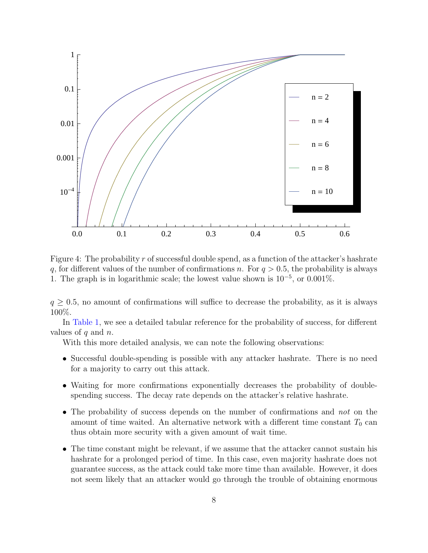

<span id="page-7-0"></span>Figure 4: The probability r of successful double spend, as a function of the attacker's hashrate q, for different values of the number of confirmations n. For  $q > 0.5$ , the probability is always 1. The graph is in logarithmic scale; the lowest value shown is  $10^{-5}$ , or 0.001%.

 $q \geq 0.5$ , no amount of confirmations will suffice to decrease the probability, as it is always 100%.

In [Table 1,](#page-9-1) we see a detailed tabular reference for the probability of success, for different values of  $q$  and  $n$ .

With this more detailed analysis, we can note the following observations:

- Successful double-spending is possible with any attacker hashrate. There is no need for a majority to carry out this attack.
- Waiting for more confirmations exponentially decreases the probability of doublespending success. The decay rate depends on the attacker's relative hashrate.
- The probability of success depends on the number of confirmations and not on the amount of time waited. An alternative network with a different time constant  $T_0$  can thus obtain more security with a given amount of wait time.
- The time constant might be relevant, if we assume that the attacker cannot sustain his hashrate for a prolonged period of time. In this case, even majority hashrate does not guarantee success, as the attack could take more time than available. However, it does not seem likely that an attacker would go through the trouble of obtaining enormous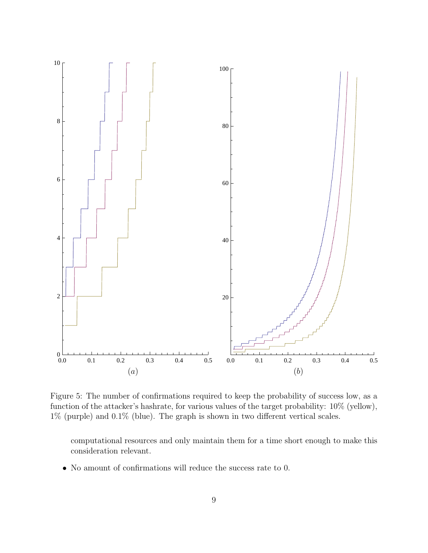

<span id="page-8-0"></span>Figure 5: The number of confirmations required to keep the probability of success low, as a function of the attacker's hashrate, for various values of the target probability: 10% (yellow), 1% (purple) and 0.1% (blue). The graph is shown in two different vertical scales.

computational resources and only maintain them for a time short enough to make this consideration relevant.

• No amount of confirmations will reduce the success rate to 0.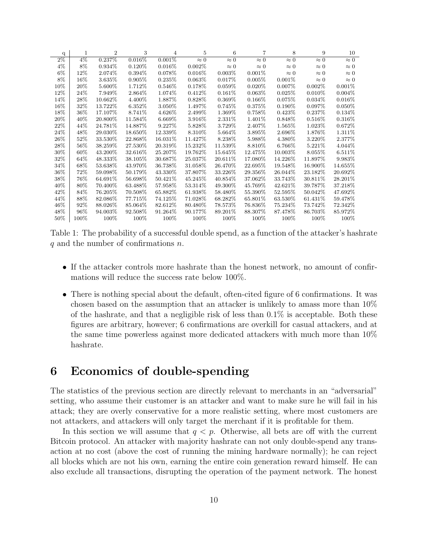| q      | 1      | $\overline{2}$ | 3         | 4           | 5           | 6           | 7           | 8           | 9           | 10          |
|--------|--------|----------------|-----------|-------------|-------------|-------------|-------------|-------------|-------------|-------------|
| $2\%$  | $4\%$  | 0.237%         | 0.016%    | $0.001\%$   | $\approx 0$ | $\approx 0$ | $\approx 0$ | $\approx 0$ | $\approx 0$ | $\approx 0$ |
| 4%     | 8%     | 0.934\%        | $0.120\%$ | $0.016\%$   | 0.002%      | $\approx 0$ | $\approx 0$ | $\approx 0$ | $\approx 0$ | $\approx 0$ |
| $6\%$  | $12\%$ | 2.074\%        | 0.394%    | 0.078\%     | $0.016\%$   | $0.003\%$   | 0.001%      | $\approx 0$ | $\approx 0$ | $\approx 0$ |
| 8%     | 16%    | 3.635%         | 0.905%    | 0.235%      | 0.063%      | 0.017%      | $0.005\%$   | 0.001%      | $\approx 0$ | $\approx 0$ |
| 10%    | 20%    | 5.600%         | 1.712%    | 0.546\%     | 0.178%      | $0.059\%$   | $0.020\%$   | $0.007\%$   | 0.002%      | 0.001%      |
| 12%    | 24\%   | 7.949%         | 2.864\%   | 1.074\%     | 0.412\%     | $0.161\%$   | 0.063%      | 0.025%      | $0.010\%$   | $0.004\%$   |
| 14%    | 28\%   | 10.662\%       | 4.400\%   | 1.887\%     | 0.828\%     | $0.369\%$   | $0.166\%$   | 0.075%      | $0.034\%$   | $0.016\%$   |
| 16%    | 32\%   | 13.722%        | 6.352%    | 3.050\%     | 1.497%      | 0.745\%     | 0.375%      | $0.190\%$   | $0.097\%$   | $0.050\%$   |
| 18%    | $36\%$ | 17.107%        | 8.741\%   | 4.626\%     | 2.499%      | 1.369\%     | 0.758%      | $0.423\%$   | $0.237\%$   | 0.134\%     |
| 20%    | $40\%$ | 20.800\%       | 11.584%   | $6.669\%$   | 3.916\%     | 2.331\%     | 1.401\%     | 0.848\%     | $0.516\%$   | $0.316\%$   |
| 22%    | 44\%   | 24.781%        | 14.887%   | 9.227%      | 5.828\%     | 3.729\%     | 2.407%      | 1.565%      | 1.023\%     | 0.672\%     |
| 24\%   | 48\%   | 29.030%        | 18.650%   | 12.339%     | 8.310\%     | 5.664\%     | 3.895%      | 2.696%      | 1.876%      | 1.311\%     |
| 26%    | 52%    | 33.530%        | 22.868%   | 16.031\%    | 11.427\%    | 8.238\%     | 5.988%      | 4.380%      | 3.220\%     | 2.377%      |
| 28\%   | 56%    | 38.259%        | 27.530\%  | 20.319%     | 15.232\%    | 11.539%     | 8.810\%     | 6.766%      | 5.221\%     | 4.044\%     |
| 30%    | 60%    | 43.200\%       | 32.616%   | 25.207\%    | 19.762\%    | 15.645\%    | 12.475\%    | 10.003\%    | 8.055%      | 6.511\%     |
| 32%    | 64\%   | 48.333%        | 38.105%   | 30.687%     | 25.037%     | 20.611\%    | 17.080%     | 14.226\%    | 11.897%     | 9.983%      |
| 34%    | 68\%   | 53.638%        | 43.970\%  | 36.738 $\%$ | 31.058\%    | 26.470\%    | 22.695%     | 19.548%     | 16.900\%    | 14.655%     |
| $36\%$ | 72\%   | 59.098\%       | 50.179%   | 43.330\%    | 37.807\%    | 33.226\%    | 29.356\%    | 26.044\%    | 23.182\%    | 20.692\%    |
| 38\%   | 76%    | 64.691%        | 56.698%   | 50.421\%    | 45.245\%    | 40.854\%    | 37.062%     | 33.743%     | 30.811\%    | 28.201\%    |
| 40%    | 80%    | 70.400\%       | 63.488%   | 57.958%     | 53.314\%    | 49.300\%    | 45.769%     | 42.621%     | 39.787%     | 37.218\%    |
| 42%    | 84\%   | 76.205%        | 70.508%   | 65.882%     | 61.938%     | 58.480\%    | 55.390\%    | 52.595%     | 50.042\%    | 47.692%     |
| 44%    | 88%    | 82.086%        | 77.715%   | 74.125%     | 71.028\%    | 68.282\%    | 65.801\%    | 63.530%     | 61.431\%    | 59.478%     |
| 46\%   | 92%    | 88.026\%       | 85.064%   | 82.612%     | 80.480\%    | 78.573%     | 76.836%     | 75.234%     | 73.742\%    | 72.342\%    |
| 48\%   | 96%    | 94.003\%       | 92.508\%  | 91.264\%    | 90.177\%    | 89.201\%    | 88.307\%    | 87.478\%    | 86.703\%    | 85.972\%    |
| 50%    | 100%   | 100\%          | 100%      | 100\%       | 100%        | 100\%       | 100%        | 100%        | 100\%       | $100\%$     |

<span id="page-9-1"></span>Table 1: The probability of a successful double spend, as a function of the attacker's hashrate  $q$  and the number of confirmations  $n$ .

- If the attacker controls more hashrate than the honest network, no amount of confirmations will reduce the success rate below 100%.
- There is nothing special about the default, often-cited figure of 6 confirmations. It was chosen based on the assumption that an attacker is unlikely to amass more than 10% of the hashrate, and that a negligible risk of less than 0.1% is acceptable. Both these figures are arbitrary, however; 6 confirmations are overkill for casual attackers, and at the same time powerless against more dedicated attackers with much more than 10% hashrate.

#### <span id="page-9-0"></span>6 Economics of double-spending

The statistics of the previous section are directly relevant to merchants in an "adversarial" setting, who assume their customer is an attacker and want to make sure he will fail in his attack; they are overly conservative for a more realistic setting, where most customers are not attackers, and attackers will only target the merchant if it is profitable for them.

In this section we will assume that  $q < p$ . Otherwise, all bets are off with the current Bitcoin protocol. An attacker with majority hashrate can not only double-spend any transaction at no cost (above the cost of running the mining hardware normally); he can reject all blocks which are not his own, earning the entire coin generation reward himself. He can also exclude all transactions, disrupting the operation of the payment network. The honest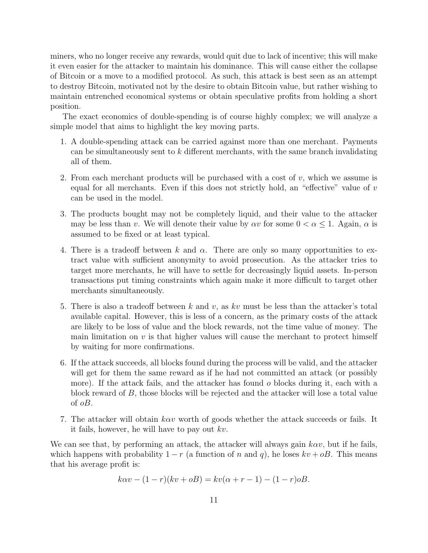miners, who no longer receive any rewards, would quit due to lack of incentive; this will make it even easier for the attacker to maintain his dominance. This will cause either the collapse of Bitcoin or a move to a modified protocol. As such, this attack is best seen as an attempt to destroy Bitcoin, motivated not by the desire to obtain Bitcoin value, but rather wishing to maintain entrenched economical systems or obtain speculative profits from holding a short position.

The exact economics of double-spending is of course highly complex; we will analyze a simple model that aims to highlight the key moving parts.

- 1. A double-spending attack can be carried against more than one merchant. Payments can be simultaneously sent to  $k$  different merchants, with the same branch invalidating all of them.
- 2. From each merchant products will be purchased with a cost of  $v$ , which we assume is equal for all merchants. Even if this does not strictly hold, an "effective" value of  $v$ can be used in the model.
- 3. The products bought may not be completely liquid, and their value to the attacker may be less than v. We will denote their value by  $\alpha v$  for some  $0 < \alpha \leq 1$ . Again,  $\alpha$  is assumed to be fixed or at least typical.
- 4. There is a tradeoff between k and  $\alpha$ . There are only so many opportunities to extract value with sufficient anonymity to avoid prosecution. As the attacker tries to target more merchants, he will have to settle for decreasingly liquid assets. In-person transactions put timing constraints which again make it more difficult to target other merchants simultaneously.
- 5. There is also a tradeoff between k and v, as kv must be less than the attacker's total available capital. However, this is less of a concern, as the primary costs of the attack are likely to be loss of value and the block rewards, not the time value of money. The main limitation on  $v$  is that higher values will cause the merchant to protect himself by waiting for more confirmations.
- 6. If the attack succeeds, all blocks found during the process will be valid, and the attacker will get for them the same reward as if he had not committed an attack (or possibly more). If the attack fails, and the attacker has found  $o$  blocks during it, each with a block reward of B, those blocks will be rejected and the attacker will lose a total value of oB.
- 7. The attacker will obtain  $k\alpha v$  worth of goods whether the attack succeeds or fails. It it fails, however, he will have to pay out  $kv$ .

We can see that, by performing an attack, the attacker will always gain  $k \alpha v$ , but if he fails, which happens with probability  $1 - r$  (a function of n and q), he loses  $kv + \rho B$ . This means that his average profit is:

$$
k\alpha v - (1 - r)(kv + oB) = kv(\alpha + r - 1) - (1 - r)oB.
$$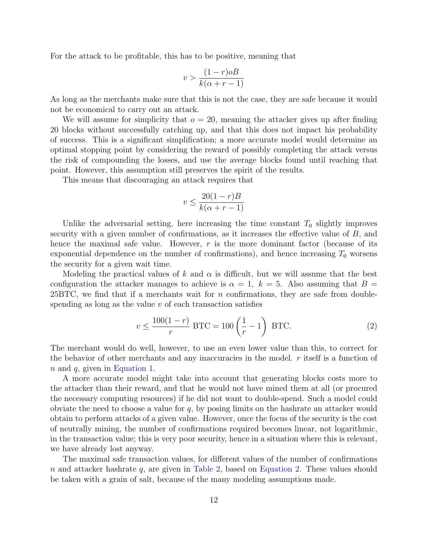For the attack to be profitable, this has to be positive, meaning that

$$
v > \frac{(1-r)oB}{k(\alpha+r-1)}
$$

As long as the merchants make sure that this is not the case, they are safe because it would not be economical to carry out an attack.

We will assume for simplicity that  $\sigma = 20$ , meaning the attacker gives up after finding 20 blocks without successfully catching up, and that this does not impact his probability of success. This is a significant simplification; a more accurate model would determine an optimal stopping point by considering the reward of possibly completing the attack versus the risk of compounding the losses, and use the average blocks found until reaching that point. However, this assumption still preserves the spirit of the results.

This means that discouraging an attack requires that

$$
v \le \frac{20(1-r)B}{k(\alpha+r-1)}
$$

Unlike the adversarial setting, here increasing the time constant  $T_0$  slightly improves security with a given number of confirmations, as it increases the effective value of B, and hence the maximal safe value. However, r is the more dominant factor (because of its exponential dependence on the number of confirmations), and hence increasing  $T_0$  worsens the security for a given wait time.

Modeling the practical values of k and  $\alpha$  is difficult, but we will assume that the best configuration the attacker manages to achieve is  $\alpha = 1, k = 5$ . Also assuming that  $B =$  $25BTC$ , we find that if a merchants wait for n confirmations, they are safe from doublespending as long as the value  $v$  of each transaction satisfies

<span id="page-11-0"></span>
$$
v \le \frac{100(1-r)}{r} \text{ BTC} = 100\left(\frac{1}{r} - 1\right) \text{ BTC}.
$$
 (2)

The merchant would do well, however, to use an even lower value than this, to correct for the behavior of other merchants and any inaccuracies in the model.  $r$  itself is a function of n and q, given in [Equation 1.](#page-6-1)

A more accurate model might take into account that generating blocks costs more to the attacker than their reward, and that he would not have mined them at all (or procured the necessary computing resources) if he did not want to double-spend. Such a model could obviate the need to choose a value for  $q$ , by posing limits on the hashrate an attacker would obtain to perform attacks of a given value. However, once the focus of the security is the cost of neutrally mining, the number of confirmations required becomes linear, not logarithmic, in the transaction value; this is very poor security, hence in a situation where this is relevant, we have already lost anyway.

The maximal safe transaction values, for different values of the number of confirmations  $n$  and attacker hashrate  $q$ , are given in [Table 2,](#page-12-1) based on [Equation 2.](#page-11-0) These values should be taken with a grain of salt, because of the many modeling assumptions made.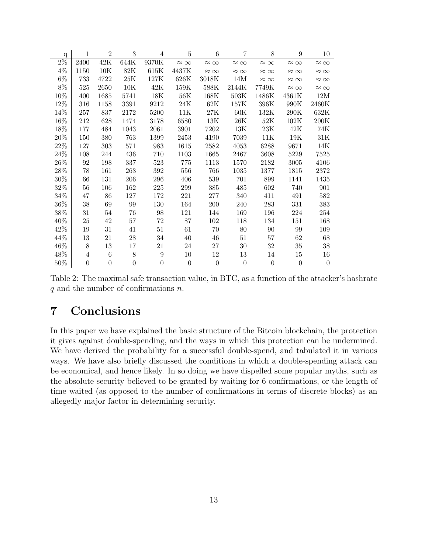| $\mathbf{q}$     | 1                | $\overline{2}$   | 3                | 4               | 5                | 6                | $\overline{7}$   | 8                | 9                | 10               |
|------------------|------------------|------------------|------------------|-----------------|------------------|------------------|------------------|------------------|------------------|------------------|
| $\overline{2\%}$ | 2400             | 42K              | 644K             | 9370K           | $\approx \infty$ | $\approx \infty$ | $\approx \infty$ | $\approx \infty$ | $\approx \infty$ | $\approx \infty$ |
| $4\%$            | 1150             | $10\mathrm{K}$   | $82\mathrm{K}$   | 615K            | 4437K            | $\approx \infty$ | $\approx \infty$ | $\approx \infty$ | $\approx \infty$ | $\approx \infty$ |
| $6\%$            | 733              | 4722             | $25\mathrm{K}$   | $127\mathrm{K}$ | $626\mathrm{K}$  | 3018K            | 14M              | $\approx \infty$ | $\approx \infty$ | $\approx \infty$ |
| $8\%$            | 525              | 2650             | 10K              | 42K             | 159K             | 588K             | 2144K            | 7749K            | $\approx \infty$ | $\approx \infty$ |
| 10%              | 400              | 1685             | 5741             | 18K             | 56K              | 168K             | 503K             | 1486K            | $4361\mathrm{K}$ | 12M              |
| 12%              | 316              | 1158             | 3391             | 9212            | $24\mathrm{K}$   | 62K              | 157K             | 396K             | $990\mathrm{K}$  | 2460K            |
| 14%              | 257              | 837              | 2172             | 5200            | $11\mathrm{K}$   | $27\mathrm{K}$   | $60\mathrm{K}$   | 132K             | $290\mathrm{K}$  | 632K             |
| 16%              | 212              | 628              | 1474             | 3178            | 6580             | 13K              | $26\mathrm{K}$   | $52\mathrm{K}$   | 102K             | $200\mathrm{K}$  |
| 18%              | 177              | 484              | 1043             | 2061            | 3901             | 7202             | $13\mathrm{K}$   | $23\mathrm{K}$   | $42\mathrm{K}$   | $74\mathrm{K}$   |
| $20\%$           | 150              | 380              | 763              | 1399            | 2453             | 4190             | 7039             | 11K              | 19K              | $31\mathrm{K}$   |
| $22\%$           | 127              | 303              | 571              | 983             | 1615             | 2582             | 4053             | 6288             | 9671             | $14\mathrm{K}$   |
| $24\%$           | 108              | 244              | 436              | 710             | 1103             | 1665             | 2467             | 3608             | 5229             | 7525             |
| $26\%$           | 92               | 198              | 337              | 523             | 775              | 1113             | 1570             | 2182             | 3005             | 4106             |
| 28%              | 78               | 161              | 263              | 392             | 556              | 766              | 1035             | 1377             | 1815             | 2372             |
| 30%              | 66               | 131              | 206              | 296             | 406              | 539              | 701              | 899              | 1141             | 1435             |
| 32%              | 56               | 106              | 162              | $225\,$         | 299              | 385              | 485              | 602              | 740              | 901              |
| 34%              | 47               | 86               | 127              | 172             | 221              | $277\,$          | 340              | 411              | 491              | 582              |
| 36\%             | 38               | 69               | 99               | 130             | 164              | 200              | 240              | 283              | 331              | 383              |
| 38%              | 31               | 54               | 76               | 98              | 121              | 144              | 169              | 196              | 224              | 254              |
| 40%              | 25               | 42               | 57               | 72              | 87               | 102              | 118              | 134              | 151              | 168              |
| 42%              | 19               | 31               | 41               | 51              | 61               | 70               | 80               | 90               | 99               | 109              |
| 44%              | 13               | 21               | 28               | 34              | 40               | 46               | 51               | 57               | 62               | 68               |
| 46%              | 8                | 13               | 17               | 21              | 24               | 27               | 30               | 32               | $35\,$           | 38               |
| 48%              | 4                | 6                | 8                | 9               | 10               | 12               | 13               | 14               | 15               | 16               |
| 50%              | $\boldsymbol{0}$ | $\boldsymbol{0}$ | $\boldsymbol{0}$ | 0               | $\boldsymbol{0}$ | $\boldsymbol{0}$ | $\boldsymbol{0}$ | $\boldsymbol{0}$ | $\boldsymbol{0}$ | $\theta$         |

<span id="page-12-1"></span>Table 2: The maximal safe transaction value, in BTC, as a function of the attacker's hashrate  $q$  and the number of confirmations  $n$ .

## <span id="page-12-0"></span>7 Conclusions

In this paper we have explained the basic structure of the Bitcoin blockchain, the protection it gives against double-spending, and the ways in which this protection can be undermined. We have derived the probability for a successful double-spend, and tabulated it in various ways. We have also briefly discussed the conditions in which a double-spending attack can be economical, and hence likely. In so doing we have dispelled some popular myths, such as the absolute security believed to be granted by waiting for 6 confirmations, or the length of time waited (as opposed to the number of confirmations in terms of discrete blocks) as an allegedly major factor in determining security.